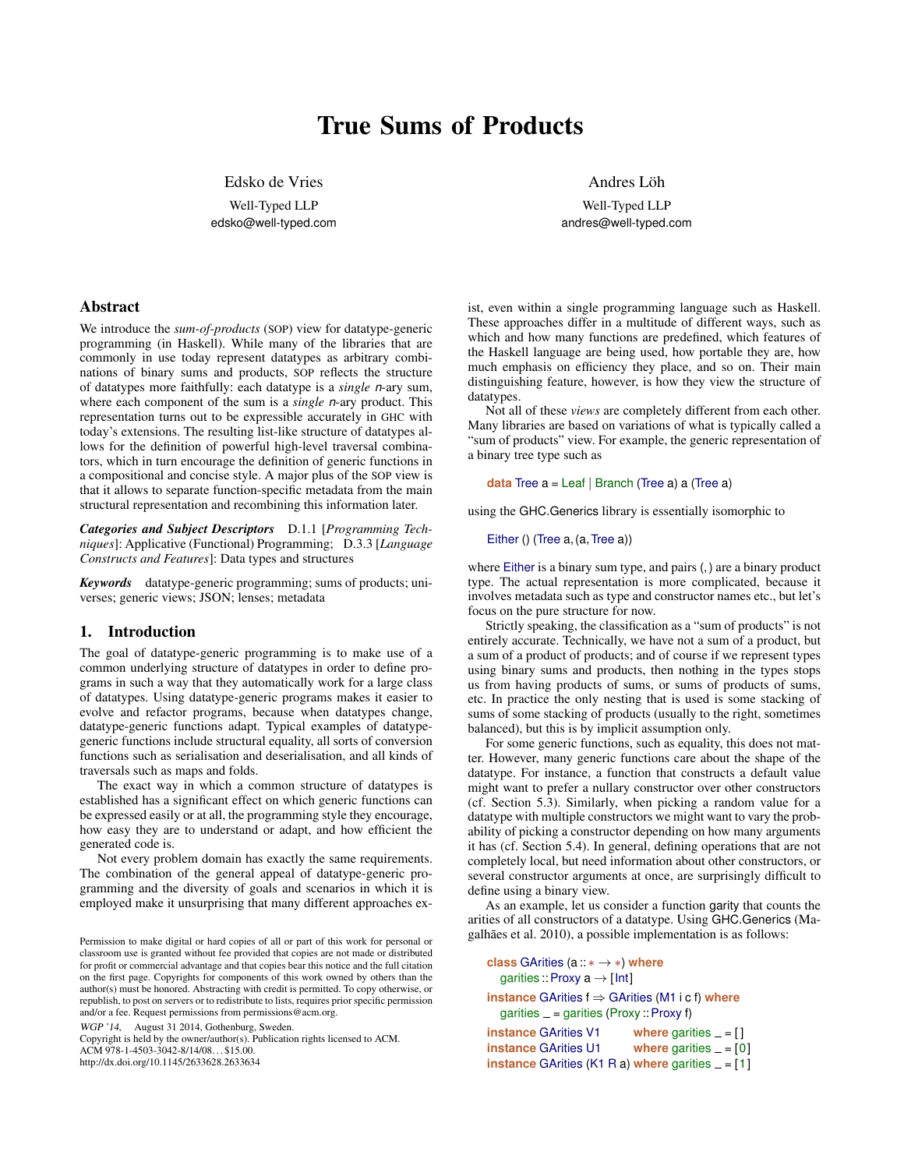# True Sums of Products

Edsko de Vries

Well-Typed LLP edsko@well-typed.com Andres Löh

Well-Typed LLP andres@well-typed.com

## Abstract

We introduce the *sum-of-products* (SOP) view for datatype-generic programming (in Haskell). While many of the libraries that are commonly in use today represent datatypes as arbitrary combinations of binary sums and products, SOP reflects the structure of datatypes more faithfully: each datatype is a *single n*-ary sum, where each component of the sum is a *single n*-ary product. This representation turns out to be expressible accurately in GHC with today's extensions. The resulting list-like structure of datatypes allows for the definition of powerful high-level traversal combinators, which in turn encourage the definition of generic functions in a compositional and concise style. A major plus of the SOP view is that it allows to separate function-specific metadata from the main structural representation and recombining this information later.

*Categories and Subject Descriptors* D.1.1 [*Programming Techniques*]: Applicative (Functional) Programming; D.3.3 [*Language Constructs and Features*]: Data types and structures

*Keywords* datatype-generic programming; sums of products; universes; generic views; JSON; lenses; metadata

# 1. Introduction

The goal of datatype-generic programming is to make use of a common underlying structure of datatypes in order to define programs in such a way that they automatically work for a large class of datatypes. Using datatype-generic programs makes it easier to evolve and refactor programs, because when datatypes change, datatype-generic functions adapt. Typical examples of datatypegeneric functions include structural equality, all sorts of conversion functions such as serialisation and deserialisation, and all kinds of traversals such as maps and folds.

The exact way in which a common structure of datatypes is established has a significant effect on which generic functions can be expressed easily or at all, the programming style they encourage, how easy they are to understand or adapt, and how efficient the generated code is.

Not every problem domain has exactly the same requirements. The combination of the general appeal of datatype-generic programming and the diversity of goals and scenarios in which it is employed make it unsurprising that many different approaches ex-

WGP '14, August 31 2014, Gothenburg, Sweden.

Copyright is held by the owner/author(s). Publication rights licensed to ACM. ACM 978-1-4503-3042-8/14/08. . . \$15.00. http://dx.doi.org/10.1145/2633628.2633634

ist, even within a single programming language such as Haskell. These approaches differ in a multitude of different ways, such as which and how many functions are predefined, which features of the Haskell language are being used, how portable they are, how much emphasis on efficiency they place, and so on. Their main distinguishing feature, however, is how they view the structure of datatypes.

Not all of these *views* are completely different from each other. Many libraries are based on variations of what is typically called a "sum of products" view. For example, the generic representation of a binary tree type such as

**data** Tree a = Leaf | Branch (Tree a) a (Tree a)

using the GHC.Generics library is essentially isomorphic to

Either () (Tree a, (a, Tree a))

where Either is a binary sum type, and pairs (, ) are a binary product type. The actual representation is more complicated, because it involves metadata such as type and constructor names etc., but let's focus on the pure structure for now.

Strictly speaking, the classification as a "sum of products" is not entirely accurate. Technically, we have not a sum of a product, but a sum of a product of products; and of course if we represent types using binary sums and products, then nothing in the types stops us from having products of sums, or sums of products of sums, etc. In practice the only nesting that is used is some stacking of sums of some stacking of products (usually to the right, sometimes balanced), but this is by implicit assumption only.

For some generic functions, such as equality, this does not matter. However, many generic functions care about the shape of the datatype. For instance, a function that constructs a default value might want to prefer a nullary constructor over other constructors (cf. Section 5.3). Similarly, when picking a random value for a datatype with multiple constructors we might want to vary the probability of picking a constructor depending on how many arguments it has (cf. Section 5.4). In general, defining operations that are not completely local, but need information about other constructors, or several constructor arguments at once, are surprisingly difficult to define using a binary view.

As an example, let us consider a function garity that counts the arities of all constructors of a datatype. Using GHC.Generics (Magalhães et al. 2010), a possible implementation is as follows:

```
class GArities (a :: ∗ → ∗) where
  garities ::Proxy a → [Int]
instance GArities f ⇒ GArities (M1 i c f) where
  garities = garities (Proxy :: Proxy f)
instance GArities V1 where garities = [ ]instance GArities U1 where garities = [0]instance GArities (K1 R a) where garities = [1]
```
Permission to make digital or hard copies of all or part of this work for personal or classroom use is granted without fee provided that copies are not made or distributed for profit or commercial advantage and that copies bear this notice and the full citation on the first page. Copyrights for components of this work owned by others than the author(s) must be honored. Abstracting with credit is permitted. To copy otherwise, or republish, to post on servers or to redistribute to lists, requires prior specific permission and/or a fee. Request permissions from permissions@acm.org.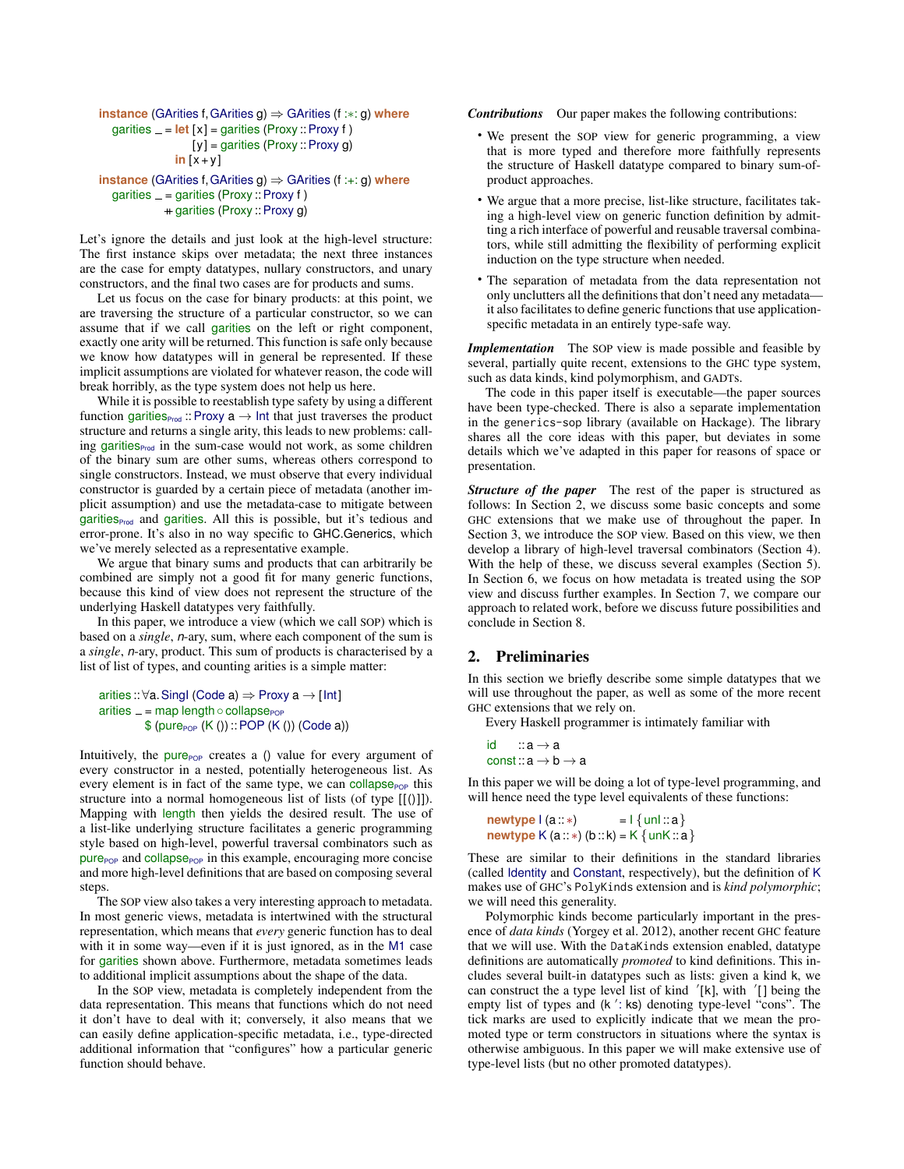```
instance (GArities f,GArities g) ⇒ GArities (f :∗: g) where
  garities = let [x] = garities (Proxy :: Proxy f)
                  [y] = garities (Proxy :: Proxy g)
               \ln [x + y]instance (GArities f,GArities g) ⇒ GArities (f :+: g) where
  garities = garities (Proxy :: Proxy f)
            ++ garities (Proxy ::Proxy g)
```
Let's ignore the details and just look at the high-level structure: The first instance skips over metadata; the next three instances are the case for empty datatypes, nullary constructors, and unary constructors, and the final two cases are for products and sums.

Let us focus on the case for binary products: at this point, we are traversing the structure of a particular constructor, so we can assume that if we call garities on the left or right component, exactly one arity will be returned. This function is safe only because we know how datatypes will in general be represented. If these implicit assumptions are violated for whatever reason, the code will break horribly, as the type system does not help us here.

While it is possible to reestablish type safety by using a different function garities<sub>Prod</sub> :: Proxy a  $\rightarrow$  Int that just traverses the product structure and returns a single arity, this leads to new problems: calling garities<sub>Prod</sub> in the sum-case would not work, as some children of the binary sum are other sums, whereas others correspond to single constructors. Instead, we must observe that every individual constructor is guarded by a certain piece of metadata (another implicit assumption) and use the metadata-case to mitigate between garities<sub>Prod</sub> and garities. All this is possible, but it's tedious and error-prone. It's also in no way specific to GHC.Generics, which we've merely selected as a representative example.

We argue that binary sums and products that can arbitrarily be combined are simply not a good fit for many generic functions, because this kind of view does not represent the structure of the underlying Haskell datatypes very faithfully.

In this paper, we introduce a view (which we call SOP) which is based on a *single*, *n*-ary, sum, where each component of the sum is a *single*, *n*-ary, product. This sum of products is characterised by a list of list of types, and counting arities is a simple matter:

arities ::  $\forall$ a. SingI (Code a)  $\Rightarrow$  Proxy a  $\rightarrow$  [Int] arities  $=$  map length  $\circ$  collapse<sub>POP</sub>  $$$  (pure<sub>POP</sub> (K ()) :: POP (K ()) (Code a))

Intuitively, the pure $_{POP}$  creates a () value for every argument of every constructor in a nested, potentially heterogeneous list. As every element is in fact of the same type, we can collapse<sub>POP</sub> this structure into a normal homogeneous list of lists (of type  $[[()]]$ ). Mapping with length then yields the desired result. The use of a list-like underlying structure facilitates a generic programming style based on high-level, powerful traversal combinators such as  $pure<sub>POP</sub>$  and collapse<sub>POP</sub> in this example, encouraging more concise and more high-level definitions that are based on composing several steps.

The SOP view also takes a very interesting approach to metadata. In most generic views, metadata is intertwined with the structural representation, which means that *every* generic function has to deal with it in some way—even if it is just ignored, as in the M1 case for garities shown above. Furthermore, metadata sometimes leads to additional implicit assumptions about the shape of the data.

In the SOP view, metadata is completely independent from the data representation. This means that functions which do not need it don't have to deal with it; conversely, it also means that we can easily define application-specific metadata, i.e., type-directed additional information that "configures" how a particular generic function should behave.

*Contributions* Our paper makes the following contributions:

- We present the SOP view for generic programming, a view that is more typed and therefore more faithfully represents the structure of Haskell datatype compared to binary sum-ofproduct approaches.
- We argue that a more precise, list-like structure, facilitates taking a high-level view on generic function definition by admitting a rich interface of powerful and reusable traversal combinators, while still admitting the flexibility of performing explicit induction on the type structure when needed.
- The separation of metadata from the data representation not only unclutters all the definitions that don't need any metadata it also facilitates to define generic functions that use applicationspecific metadata in an entirely type-safe way.

*Implementation* The SOP view is made possible and feasible by several, partially quite recent, extensions to the GHC type system, such as data kinds, kind polymorphism, and GADTs.

The code in this paper itself is executable—the paper sources have been type-checked. There is also a separate implementation in the generics-sop library (available on Hackage). The library shares all the core ideas with this paper, but deviates in some details which we've adapted in this paper for reasons of space or presentation.

*Structure of the paper* The rest of the paper is structured as follows: In Section 2, we discuss some basic concepts and some GHC extensions that we make use of throughout the paper. In Section 3, we introduce the SOP view. Based on this view, we then develop a library of high-level traversal combinators (Section 4). With the help of these, we discuss several examples (Section 5). In Section 6, we focus on how metadata is treated using the SOP view and discuss further examples. In Section 7, we compare our approach to related work, before we discuss future possibilities and conclude in Section 8.

## 2. Preliminaries

In this section we briefly describe some simple datatypes that we will use throughout the paper, as well as some of the more recent GHC extensions that we rely on.

Every Haskell programmer is intimately familiar with

```
id :: a \rightarrow aconst::a \rightarrow b \rightarrow a
```
In this paper we will be doing a lot of type-level programming, and will hence need the type level equivalents of these functions:

```
\mathsf{newtype} \mid (\mathsf{a}::*) \qquad = \mathsf{I} \{\mathsf{unl}::\mathsf{a}\}\newtype K (a :: *) (b :: k) = K {unK:: a }
```
These are similar to their definitions in the standard libraries (called Identity and Constant, respectively), but the definition of K makes use of GHC's PolyKinds extension and is *kind polymorphic*; we will need this generality.

Polymorphic kinds become particularly important in the presence of *data kinds* (Yorgey et al. 2012), another recent GHC feature that we will use. With the DataKinds extension enabled, datatype definitions are automatically *promoted* to kind definitions. This includes several built-in datatypes such as lists: given a kind k, we can construct the a type level list of kind '[k], with '[] being the empty list of types and (k': ks) denoting type-level "cons". The tick marks are used to explicitly indicate that we mean the promoted type or term constructors in situations where the syntax is otherwise ambiguous. In this paper we will make extensive use of type-level lists (but no other promoted datatypes).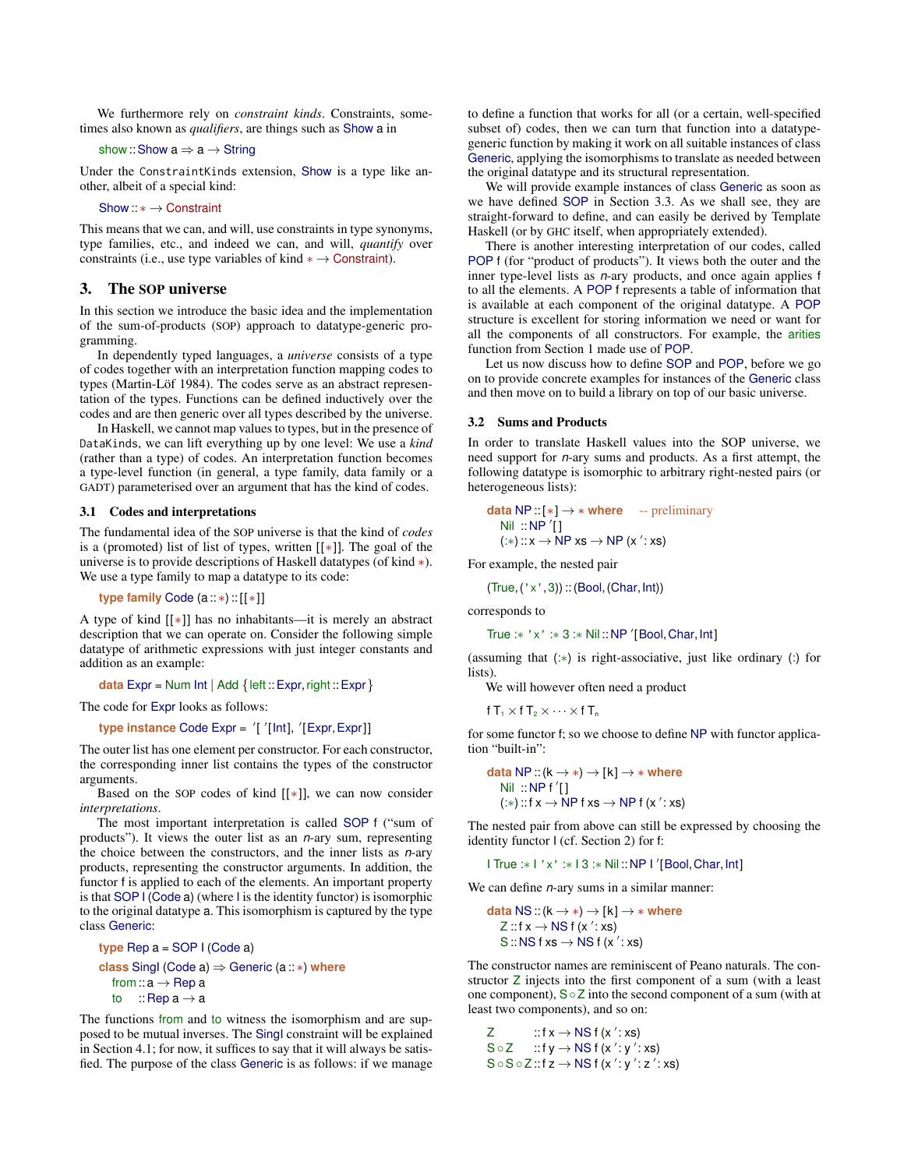We furthermore rely on *constraint kinds*. Constraints, sometimes also known as *qualifiers*, are things such as Show a in

```
show :: Show a \Rightarrow a \rightarrow String
```
Under the ConstraintKinds extension, Show is a type like another, albeit of a special kind:

Show :: ∗ → Constraint

This means that we can, and will, use constraints in type synonyms, type families, etc., and indeed we can, and will, *quantify* over constraints (i.e., use type variables of kind  $* \rightarrow$  Constraint).

## 3. The SOP universe

In this section we introduce the basic idea and the implementation of the sum-of-products (SOP) approach to datatype-generic programming.

In dependently typed languages, a *universe* consists of a type of codes together with an interpretation function mapping codes to types (Martin-Löf 1984). The codes serve as an abstract representation of the types. Functions can be defined inductively over the codes and are then generic over all types described by the universe.

In Haskell, we cannot map values to types, but in the presence of DataKinds, we can lift everything up by one level: We use a *kind* (rather than a type) of codes. An interpretation function becomes a type-level function (in general, a type family, data family or a GADT) parameterised over an argument that has the kind of codes.

## 3.1 Codes and interpretations

The fundamental idea of the SOP universe is that the kind of *codes* is a (promoted) list of list of types, written [[∗]]. The goal of the universe is to provide descriptions of Haskell datatypes (of kind ∗). We use a type family to map a datatype to its code:

#### **type family** Code (a :: ∗) :: [[∗]]

A type of kind [[∗]] has no inhabitants—it is merely an abstract description that we can operate on. Consider the following simple datatype of arithmetic expressions with just integer constants and addition as an example:

**data** Expr = Num Int | Add  $\{left: E$ xpr, right :: Expr  $\}$ 

The code for Expr looks as follows:

**type instance** Code Expr = '['[Int], '[Expr, Expr]]

The outer list has one element per constructor. For each constructor, the corresponding inner list contains the types of the constructor arguments.

Based on the SOP codes of kind [[∗]], we can now consider *interpretations*.

The most important interpretation is called SOP f ("sum of products"). It views the outer list as an *n*-ary sum, representing the choice between the constructors, and the inner lists as *n*-ary products, representing the constructor arguments. In addition, the functor f is applied to each of the elements. An important property is that SOP I (Code a) (where I is the identity functor) is isomorphic to the original datatype a. This isomorphism is captured by the type class Generic:

```
type Rep a = SOP I (Code a)
class SingI (Code a) ⇒ Generic (a :: ∗) where
  from :: a \rightarrow \text{Rep } ato :: Rep a \rightarrow a
```
The functions from and to witness the isomorphism and are supposed to be mutual inverses. The SingI constraint will be explained in Section 4.1; for now, it suffices to say that it will always be satisfied. The purpose of the class Generic is as follows: if we manage to define a function that works for all (or a certain, well-specified subset of) codes, then we can turn that function into a datatypegeneric function by making it work on all suitable instances of class Generic, applying the isomorphisms to translate as needed between the original datatype and its structural representation.

We will provide example instances of class Generic as soon as we have defined SOP in Section 3.3. As we shall see, they are straight-forward to define, and can easily be derived by Template Haskell (or by GHC itself, when appropriately extended).

There is another interesting interpretation of our codes, called POP f (for "product of products"). It views both the outer and the inner type-level lists as *n*-ary products, and once again applies f to all the elements. A POP f represents a table of information that is available at each component of the original datatype. A POP structure is excellent for storing information we need or want for all the components of all constructors. For example, the arities function from Section 1 made use of POP.

Let us now discuss how to define SOP and POP, before we go on to provide concrete examples for instances of the Generic class and then move on to build a library on top of our basic universe.

#### 3.2 Sums and Products

In order to translate Haskell values into the SOP universe, we need support for *n*-ary sums and products. As a first attempt, the following datatype is isomorphic to arbitrary right-nested pairs (or heterogeneous lists):

**data** NP:: [∗] → ∗ **where** -- preliminary Nil :: NP <sup>0</sup> [ ] (:∗) :: x → NP xs → NP (x <sup>0</sup> : xs)

For example, the nested pair

 $(True, ('x', 3))$  :: (Bool, (Char, Int))

corresponds to

```
True :* 'x' : * 3 : * Nil :: NP ' [Bool, Char, Int]
```
(assuming that (:∗) is right-associative, just like ordinary (:) for lists).

We will however often need a product

f  $T_1 \times f T_2 \times \cdots \times f T_n$ 

for some functor f; so we choose to define NP with functor application "built-in":

data  $NP::(k \rightarrow *) \rightarrow [k] \rightarrow *$  where  $Nil :: NPf'[]$  $(:*)::f x \rightarrow NP f x s \rightarrow NP f (x':x s)$ 

The nested pair from above can still be expressed by choosing the identity functor I (cf. Section 2) for f:

I True :∗ I ' x ' :\* I 3 :\* Nil :: NP I '[Bool, Char, Int]

We can define *n*-ary sums in a similar manner:

```
data NS:: (k \rightarrow *) \rightarrow [k] \rightarrow * where
    Z:: f x \rightarrow NS f (x': xs)S:: NS f xs \rightarrow NS f (x': xs)
```
The constructor names are reminiscent of Peano naturals. The constructor Z injects into the first component of a sum (with a least one component), S◦Z into the second component of a sum (with at least two components), and so on:

 $Z$  :: f  $x \rightarrow NS f(x': xs)$  $S \circ Z$  :: f y  $\rightarrow$  NS f (x': y': xs)  $S \circ S \circ Z :: f z \rightarrow NS f(x' : y' : z' : x s)$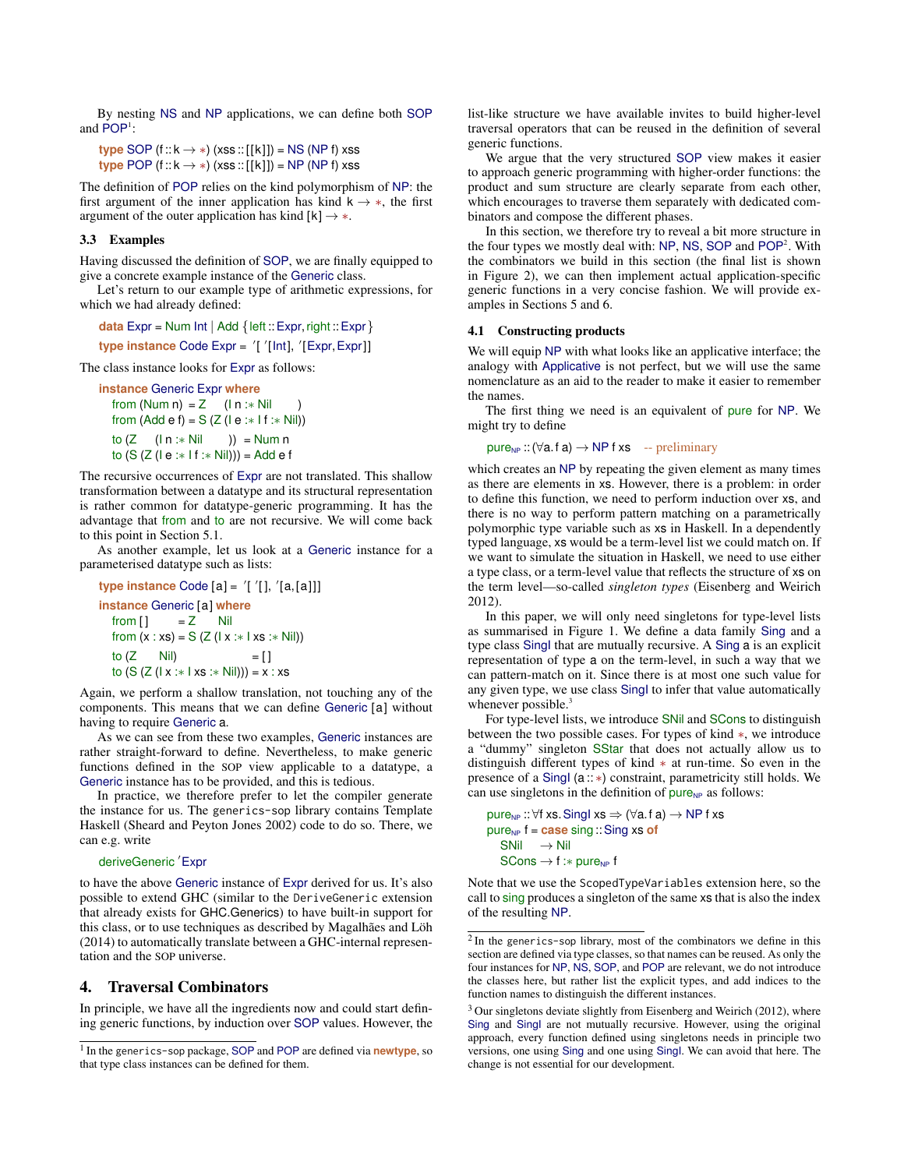By nesting NS and NP applications, we can define both SOP and  $POP<sup>1</sup>$ :

```
type SOP (f::k \rightarrow *) (xss :: [[k]]) = NS (NP f) xss
type POP (f::k \rightarrow *) (xss :: [[k]]) = NP (NP f) xss
```
The definition of POP relies on the kind polymorphism of NP: the first argument of the inner application has kind  $k \rightarrow *$ , the first argument of the outer application has kind  $[k] \rightarrow *$ .

## 3.3 Examples

Having discussed the definition of SOP, we are finally equipped to give a concrete example instance of the Generic class.

Let's return to our example type of arithmetic expressions, for which we had already defined:

```
data Expr = Num Int | Add \{left: Expr, right :: Expr\}type instance Code Expr = '['[Int], '[Expr, Expr]]
```
The class instance looks for Expr as follows:

**instance** Generic Expr **where** from (Num n) =  $Z$  (I n :\* Nil from (Add e f) =  $S(Z$  (I e : $*$  I f : $*$  Nil)) to  $(Z \t (ln : * Nil)) = Num n$ to (S (Z (I e :∗ I f :∗ Nil))) = Add e f

The recursive occurrences of Expr are not translated. This shallow transformation between a datatype and its structural representation is rather common for datatype-generic programming. It has the advantage that from and to are not recursive. We will come back to this point in Section 5.1.

As another example, let us look at a Generic instance for a parameterised datatype such as lists:

**type instance** Code [a] = '['[], '[a,[a]]] **instance** Generic [a] **where**  $from [ ] = Z \t Nil$ from  $(x : xs) = S (Z (l x : * l x s : * Nil))$ to  $(Z \t Nil)$  = [ ] to  $(S (Z (I x : * I x s : * Nil))) = x : x s$ 

Again, we perform a shallow translation, not touching any of the components. This means that we can define Generic [a] without having to require Generic a.

As we can see from these two examples, Generic instances are rather straight-forward to define. Nevertheless, to make generic functions defined in the SOP view applicable to a datatype, a Generic instance has to be provided, and this is tedious.

In practice, we therefore prefer to let the compiler generate the instance for us. The generics-sop library contains Template Haskell (Sheard and Peyton Jones 2002) code to do so. There, we can e.g. write

## deriveGeneric 'Expr

to have the above Generic instance of Expr derived for us. It's also possible to extend GHC (similar to the DeriveGeneric extension that already exists for GHC.Generics) to have built-in support for this class, or to use techniques as described by Magalhães and Löh (2014) to automatically translate between a GHC-internal representation and the SOP universe.

## 4. Traversal Combinators

In principle, we have all the ingredients now and could start defining generic functions, by induction over SOP values. However, the list-like structure we have available invites to build higher-level traversal operators that can be reused in the definition of several generic functions.

We argue that the very structured SOP view makes it easier to approach generic programming with higher-order functions: the product and sum structure are clearly separate from each other, which encourages to traverse them separately with dedicated combinators and compose the different phases.

In this section, we therefore try to reveal a bit more structure in the four types we mostly deal with: NP, NS, SOP and POP<sup>2</sup>. With the combinators we build in this section (the final list is shown in Figure 2), we can then implement actual application-specific generic functions in a very concise fashion. We will provide examples in Sections 5 and 6.

#### 4.1 Constructing products

We will equip NP with what looks like an applicative interface; the analogy with Applicative is not perfect, but we will use the same nomenclature as an aid to the reader to make it easier to remember the names.

The first thing we need is an equivalent of pure for NP. We might try to define

 $pure_{NP}$  :: ( $\forall$ a.f a)  $\rightarrow$  NP f xs -- preliminary

which creates an NP by repeating the given element as many times as there are elements in xs. However, there is a problem: in order to define this function, we need to perform induction over xs, and there is no way to perform pattern matching on a parametrically polymorphic type variable such as xs in Haskell. In a dependently typed language, xs would be a term-level list we could match on. If we want to simulate the situation in Haskell, we need to use either a type class, or a term-level value that reflects the structure of xs on the term level—so-called *singleton types* (Eisenberg and Weirich 2012).

In this paper, we will only need singletons for type-level lists as summarised in Figure 1. We define a data family Sing and a type class SingI that are mutually recursive. A Sing a is an explicit representation of type a on the term-level, in such a way that we can pattern-match on it. Since there is at most one such value for any given type, we use class SingI to infer that value automatically whenever possible.<sup>3</sup>

For type-level lists, we introduce SNil and SCons to distinguish between the two possible cases. For types of kind ∗, we introduce a "dummy" singleton SStar that does not actually allow us to distinguish different types of kind ∗ at run-time. So even in the presence of a SingI (a :: ∗) constraint, parametricity still holds. We can use singletons in the definition of  $pure_{NP}$  as follows:

pure<sub>NP</sub> ::  $\forall$ f xs. SingI xs  $\Rightarrow$  ( $\forall$ a. f a)  $\rightarrow$  NP f xs pure<sub>NP</sub>  $f = \text{case} \sin g$ : Sing xs of  $SNil \rightarrow Nil$ SCons  $\rightarrow$  f :\* pure<sub>NP</sub> f

Note that we use the ScopedTypeVariables extension here, so the call to sing produces a singleton of the same xs that is also the index of the resulting NP.

<sup>&</sup>lt;sup>1</sup> In the generics-sop package, SOP and POP are defined via **newtype**, so that type class instances can be defined for them.

<sup>&</sup>lt;sup>2</sup> In the generics-sop library, most of the combinators we define in this section are defined via type classes, so that names can be reused. As only the four instances for NP, NS, SOP, and POP are relevant, we do not introduce the classes here, but rather list the explicit types, and add indices to the function names to distinguish the different instances.

<sup>&</sup>lt;sup>3</sup> Our singletons deviate slightly from Eisenberg and Weirich (2012), where Sing and SingI are not mutually recursive. However, using the original approach, every function defined using singletons needs in principle two versions, one using Sing and one using SingI. We can avoid that here. The change is not essential for our development.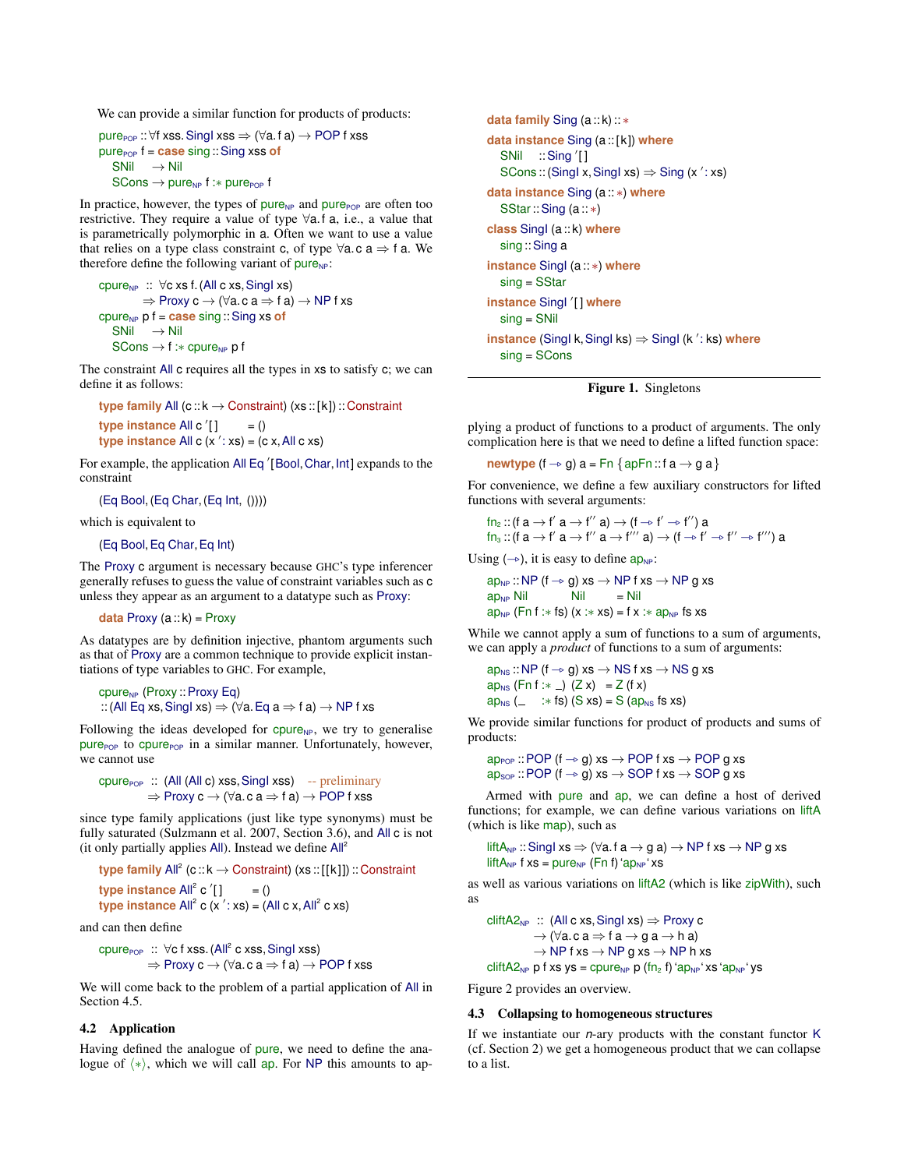We can provide a similar function for products of products:

```
pure_{POP}:: \forall f xss. SingI xss \Rightarrow (\forall a.f a) \rightarrow POP f xss
pure<sub>POP</sub> f = \text{case} \sin q: Sing xss of
    SNil \rightarrow NilSCons \rightarrow pure_{NP} f :* pure<sub>POP</sub> f
```
In practice, however, the types of  $pure_{NP}$  and  $pure_{POP}$  are often too restrictive. They require a value of type ∀a.f a, i.e., a value that is parametrically polymorphic in a. Often we want to use a value that relies on a type class constraint c, of type  $\forall a$  c  $a \Rightarrow f a$ . We therefore define the following variant of  $pure_{NP}$ :

```
cpure<sub>NP</sub> :: \forall c xs f. (All c xs, SingI xs)
             \Rightarrow Proxy c \rightarrow (\foralla.c a \Rightarrow f a) \rightarrow NP f xs
cpure<sub>NP</sub> p f = case sing :: Sing xs of
    SNil \rightarrow NilSCons \rightarrow f : * cpure<sub>NP</sub> p f
```
The constraint All c requires all the types in xs to satisfy c; we can define it as follows:

```
type family All (c :: k → Constraint) (xs :: [k]) :: Constraint
type instance All c
0
                             = ()type instance All c(x' : xs) = (c x, All c xs)
```
For example, the application All Eq '[Bool, Char, Int] expands to the constraint

(Eq Bool, (Eq Char, (Eq Int, ())))

which is equivalent to

(Eq Bool, Eq Char, Eq Int)

The Proxy c argument is necessary because GHC's type inferencer generally refuses to guess the value of constraint variables such as c unless they appear as an argument to a datatype such as Proxy:

**data** Proxy (a :: k) = Proxy

As datatypes are by definition injective, phantom arguments such as that of Proxy are a common technique to provide explicit instantiations of type variables to GHC. For example,

```
cpure<sub>NP</sub> (Proxy: Proxy Eq)
:: (All Eq xs, SingI xs) \Rightarrow (\foralla. Eq a \Rightarrow f a) \rightarrow NP f xs
```
Following the ideas developed for  $c_{\text{pure}_{NP}}$ , we try to generalise pure<sub>POP</sub> to cpure<sub>POP</sub> in a similar manner. Unfortunately, however, we cannot use

cpure<sub>POP</sub> :: (All (All c) xss, SingI xss) -- preliminary  $\Rightarrow$  Proxy c  $\rightarrow$  ( $\forall$ a.c a  $\Rightarrow$  f a)  $\rightarrow$  POP f xss

since type family applications (just like type synonyms) must be fully saturated (Sulzmann et al. 2007, Section 3.6), and All c is not (it only partially applies All). Instead we define All<sup>2</sup>

```
type family All<sup>2</sup> (c :: k → Constraint) (xs :: [[k]]) :: Constraint
type instance All<sup>2</sup> c'
                                      = ()type instance All^2 c (x ': xs) = (All c x, All<sup>2</sup> c xs)
```
and can then define

cpure<sub>POP</sub> ::  $\forall c$  f xss. (All<sup>2</sup> c xss, SingI xss)  $\Rightarrow$  Proxy c  $\rightarrow$  ( $\forall$ a.c a  $\Rightarrow$  f a)  $\rightarrow$  POP f xss

We will come back to the problem of a partial application of All in Section 4.5.

## 4.2 Application

Having defined the analogue of pure, we need to define the analogue of  $\langle \ast \rangle$ , which we will call ap. For NP this amounts to ap-

```
data family Sing (a :: k) :: ∗
data instance Sing (a :: [k]) where
   SNil :: Sing '[]
   SCons:: (SingI x, SingI xs) \Rightarrow Sing (x': xs)
data instance Sing (a :: ∗) where
  SStar::Sing (a :: ∗)
class SingI (a :: k) where
  sing :: Sing a
instance SingI (a :: ∗) where
  sing = SStar
instance Singl '[] where
  sing = SNil
instance (SingI k, SingI ks) ⇒ SingI (k': ks) where
  sing = SCons
```
#### Figure 1. Singletons

plying a product of functions to a product of arguments. The only complication here is that we need to define a lifted function space:

**newtype** (f  $\rightarrow$  g) a = Fn {apFn:: f a  $\rightarrow$  g a }

For convenience, we define a few auxiliary constructors for lifted functions with several arguments:

fn<sub>2</sub> :: (f a → f' a → f'' a) → (f → f' → f'') a<br>fn :: (f a → f' a → f'' a → f''' a) → (f → f'  $f_{\text{ln}_2}$ :: (f a  $\rightarrow$  f' a  $\rightarrow$  f'' a)  $\rightarrow$  (f  $\rightarrow$  f''  $\rightarrow$  f'') a<br> $f_{\text{ln}_3}$ :: (f a  $\rightarrow$  f' a  $\rightarrow$  f'' a  $\rightarrow$  f''' a)  $\rightarrow$  (f  $\rightarrow$  f'  $\rightarrow$  f''  $\rightarrow$  f''') a

Using  $(\rightarrow)$ , it is easy to define ap<sub>NP</sub>:

 $ap_{NP}$ :: NP (f  $\rightarrow$  g) xs  $\rightarrow$  NP f xs  $\rightarrow$  NP g xs<br>ap<sub>NP</sub> Nil Nil = Nil ap<sub>NP</sub> Nil  $ap_{NP}$  (Fn f :\* fs) (x :\* xs) = f x :\*  $ap_{NP}$  fs xs

While we cannot apply a sum of functions to a sum of arguments, we can apply a *product* of functions to a sum of arguments:

 $ap_{NS}$ :: NP (f  $\rightarrow$  g) xs  $\rightarrow$  NS f xs  $\rightarrow$  NS g xs  $ap_{NS}$  (Fn f :\* ) (Z x) = Z (f x)  $ap_{NS}$  (  $=$  :\* fs) (S xs) = S (ap<sub>NS</sub> fs xs)

We provide similar functions for product of products and sums of products:

 $ap_{\text{pop}}$ : POP (f  $\rightarrow$  g) xs  $\rightarrow$  POP f xs  $\rightarrow$  POP g xs  $ap_{SOP}$ ::POP (f  $\rightarrow$  g) xs  $\rightarrow$  SOP f xs  $\rightarrow$  SOP g xs

Armed with pure and ap, we can define a host of derived functions; for example, we can define various variations on liftA (which is like map), such as

```
liftA<sub>NP</sub> :: SingI xs \Rightarrow (∀a.f a \rightarrow g a) \rightarrow NP f xs \rightarrow NP g xs
liftA_{NP} f xs = pure<sub>NP</sub> (Fn f) 'ap<sub>NP</sub>' xs
```
as well as various variations on liftA2 (which is like zipWith), such as

cliftA2<sub>NP</sub> :: (All c xs, Singl xs)  $\Rightarrow$  Proxy c  $\rightarrow$  ( $\forall$ a.c a  $\Rightarrow$  f a  $\rightarrow$  q a  $\rightarrow$  h a)  $\rightarrow$  NP f xs  $\rightarrow$  NP g xs  $\rightarrow$  NP h xs  $cliftA2_{NP}$  p f xs ys = cpure<sub>NP</sub> p (fn<sub>2</sub> f) 'ap<sub>NP</sub>' xs 'ap<sub>NP</sub>' ys

Figure 2 provides an overview.

## 4.3 Collapsing to homogeneous structures

If we instantiate our *n*-ary products with the constant functor K (cf. Section 2) we get a homogeneous product that we can collapse to a list.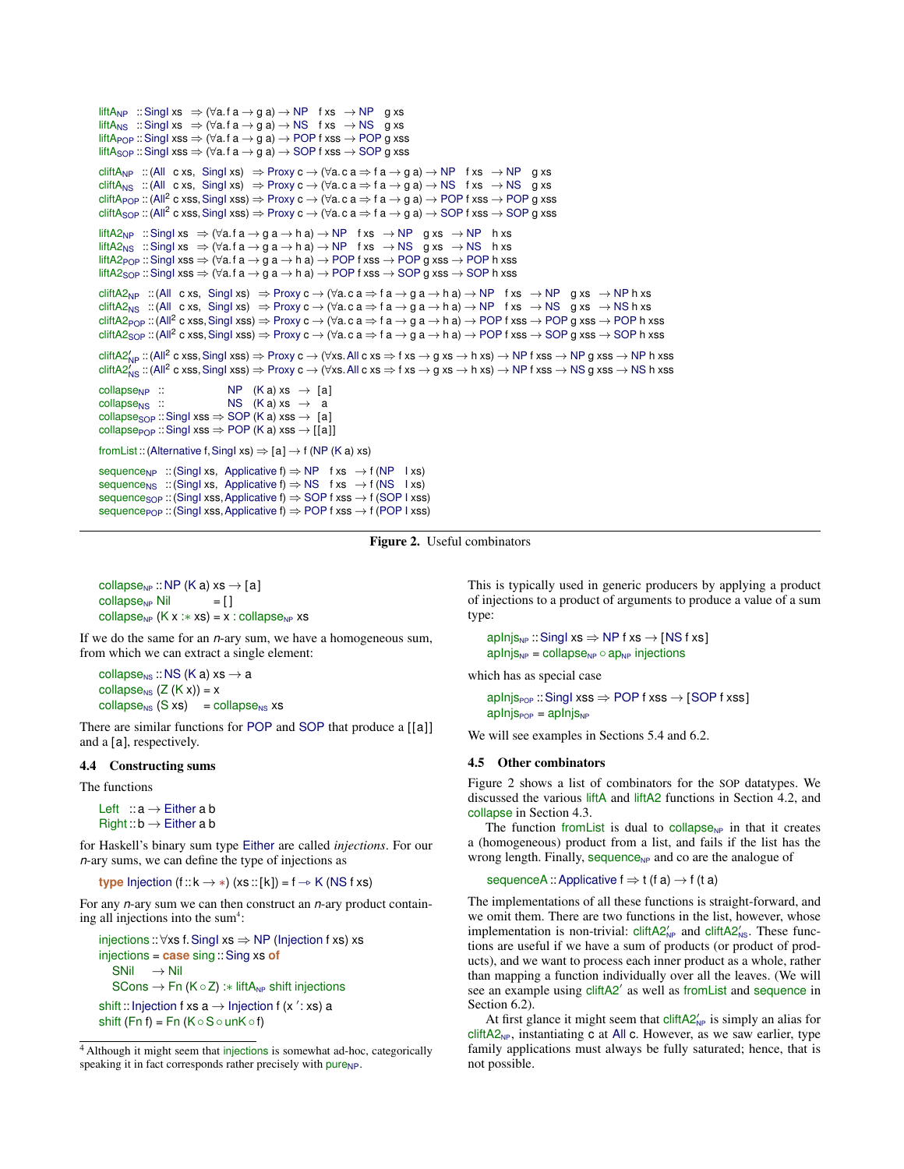```
liftA<sub>NP</sub> ::SingI xs \Rightarrow (\foralla.f a → g a) → NP f xs → NP g xs
liftA<sub>NS</sub> :: SingI xs \Rightarrow (\foralla.f a → g a) → NS f xs → NS g xs
liftA<sub>POP</sub> :: SingI xss \Rightarrow (\foralla.f a \rightarrow g a) \rightarrow POP f xss \rightarrow POP g xss
liftA<sub>SOP</sub> :: SingI xss \Rightarrow (\foralla.f a \rightarrow g a) \rightarrow SOP f xss \rightarrow SOP g xss
cliftA<sub>NP</sub> :: (All c xs, SingI xs) \Rightarrow Proxy c \rightarrow (\foralla. c a \Rightarrow f a \rightarrow g a) \rightarrow NP f xs \rightarrow NP g xs
cliftA<sub>NS</sub> :: (All c xs, SingI xs) \Rightarrow Proxy c \rightarrow (\foralla. c a \Rightarrow f a \rightarrow g a) \rightarrow NS f xs \rightarrow NS g xs
cliftA<sub>POP</sub> :: (All<sup>2</sup> c xss, SingI xss) \Rightarrow Proxy c \rightarrow (∀a. c a \Rightarrow f a \rightarrow g a) \rightarrow POP f xss \rightarrow POP g xss
cliftA<sub>SOP</sub> :: (All<sup>2</sup> c xss, SingI xss) \Rightarrow Proxy c \rightarrow (∀a. c a \Rightarrow f a \rightarrow g a) \rightarrow SOP f xss \rightarrow SOP g xss
liftA2<sub>NP</sub> ::Singl xs \Rightarrow (\foralla.f a → g a → h a) → NP f xs → NP g xs → NP h xs
liftA2<sub>NS</sub> :: Singl xs \Rightarrow (\foralla.f a → \cancel{q} a → h a) → NP f xs → NS \cancel{q} xs → NS h xs
liftA2<sub>POP</sub> :: SingI xss \Rightarrow (∀a.f a \rightarrow g a \rightarrow h a) \rightarrow POP f xss \rightarrow POP g xss \rightarrow POP h xss
liftA2<sub>SOP</sub> :: Singl xss \Rightarrow (\foralla.f a \rightarrow g a \rightarrow h a) \rightarrow POP f xss \rightarrow SOP g xss \rightarrow SOP h xss
cliftA2_{NP} :: (All c xs, SingI xs) \Rightarrow Proxy c \rightarrow (\foralla. c a \Rightarrow f a \rightarrow g a \rightarrow h a) \rightarrow NP f xs \rightarrow NP g xs \rightarrow NP h xs
cliftA2_{NS} :: (All c xs, SingI xs) \Rightarrow Proxy c \rightarrow (\foralla. c a \Rightarrow f a \rightarrow g a \rightarrow h a) \rightarrow NP f xs \rightarrow NS g xs \rightarrow NS h xs
cliftA2_{\text{POP}} :: (All^2 c xss, SingI xss) \Rightarrow Proxy c \rightarrow (∀a. c a \Rightarrow f a \rightarrow g a \rightarrow h a) \rightarrow POP f xss \rightarrow POP g xss \rightarrow POP h xss
cliftA2<sub>SOP</sub> ::(All<sup>2</sup> c xss,SingI xss) \Rightarrow Proxy c \rightarrow (∀a.c a \Rightarrow f a \rightarrow g a \rightarrow h a) \rightarrow POP f xss \rightarrow SOP g xss \rightarrow SOP h xss
{\sf cliftA2}'_{\sf NP} :: (All^2 c xss, SingI xss) \Rightarrow Proxy c \to (\forallxs. All c xs \Rightarrow f xs \to g xs \to h xs) \to NP f xss \to NP \sf g xss \to NP h xss
{\rm clittA2'_{NS}}: (All^2 c xss, SingI xss) \Rightarrow Proxy c \rightarrow (∀xs. All c xs \Rightarrow f xs \rightarrow g xs \rightarrow h xs) \rightarrow NP f xss \rightarrow NS \bar{g} xss \rightarrow NS h xss
collapse<sub>NP</sub> :: NP (K a) xs \rightarrow [a]<br>collapse<sub>NS</sub> :: NS (K a) xs \rightarrow a
                                           NS (Ka) xs \rightarrow a
collapse<sub>SOP</sub> :: SingI xss \Rightarrow SOP (K a) xss \rightarrow [a]
\text{collapse}_{\text{POP}}::\text{SingI} xss \Rightarrow POP (K a) xss \rightarrow [[a]]
fromList :: (Alternative f, SingI xs) \Rightarrow [a] \rightarrow f (NP (K a) xs)
sequence<sub>NP</sub> :: (SingI xs, Applicative f) \Rightarrow NP f xs \rightarrow f (NP I xs)
sequence<sub>NS</sub> :: (SingI xs, Applicative f) \Rightarrow NS f xs \rightarrow f (NS I xs)
sequence<sub>SOP</sub> :: (SingI xss, Applicative f) \Rightarrow SOP f xss \rightarrow f (SOP I xss)
sequence<sub>POP</sub> :: (SingI xss, Applicative f) \Rightarrow POP f xss \rightarrow f (POP I xss)
```
Figure 2. Useful combinators

collapse<sub>NP</sub> :: NP (K a)  $xs \rightarrow [a]$  $\text{collapse}_{\text{NP}}$  Nil  $=[]$ collapse<sub>NP</sub> (K x :\* xs) = x : collapse<sub>NP</sub> xs

If we do the same for an *n*-ary sum, we have a homogeneous sum, from which we can extract a single element:

```
\text{collapse}_{\text{NS}} :: \text{NS} (K a) xs \rightarrow a
collapse<sub>NS</sub> (Z (K x)) = x\text{collapse}_{\text{NS}} (S xs) = collapse<sub>NS</sub> xs
```
There are similar functions for POP and SOP that produce a [[a]] and a [a], respectively.

#### 4.4 Constructing sums

The functions

Left  $:: a \rightarrow$  Either a b  $Right::b \rightarrow Either$  a b

for Haskell's binary sum type Either are called *injections*. For our *n*-ary sums, we can define the type of injections as

**type** Injection (f:: $k \rightarrow *$ ) (xs::[k]) = f  $\rightarrow$  K (NS f xs)

For any *n*-ary sum we can then construct an *n*-ary product containing all injections into the sum<sup>4</sup>:

injections :: ∀xs f.SingI xs ⇒ NP (Injection f xs) xs injections = **case** sing ::Sing xs **of**  $SNil \rightarrow Nil$ SCons  $\rightarrow$  Fn (K  $\circ$  Z) :\* liftA<sub>NP</sub> shift injections shift:: Injection f xs a  $\rightarrow$  Injection f (x': xs) a shift (Fn f) = Fn ( $K \circ S \circ \text{un} K \circ f$ )

This is typically used in generic producers by applying a product of injections to a product of arguments to produce a value of a sum type:

```
apInjs<sub>NP</sub> :: SingI xs \Rightarrow NP f xs \rightarrow [NS f xs]
apInjs<sub>NP</sub> = collapse<sub>NP</sub> \circ ap<sub>NP</sub> injections
```
which has as special case

 $apInjs_{POP}::SingI xss \Rightarrow POP f xss \rightarrow [SOP f xss]$  $apInj<sub>POP</sub> = aplnjs<sub>NP</sub>$ 

We will see examples in Sections 5.4 and 6.2.

#### 4.5 Other combinators

Figure 2 shows a list of combinators for the SOP datatypes. We discussed the various liftA and liftA2 functions in Section 4.2, and collapse in Section 4.3.

The function from List is dual to collapse<sub>NP</sub> in that it creates a (homogeneous) product from a list, and fails if the list has the wrong length. Finally, sequence<sub>NP</sub> and co are the analogue of

```
sequenceA:: Applicative f \Rightarrow f(f a) \rightarrow f(f a)
```
The implementations of all these functions is straight-forward, and we omit them. There are two functions in the list, however, whose implementation is non-trivial:  $\text{cliftA2}'_{\text{NP}}$  and  $\text{cliftA2}'_{\text{NS}}$ . These functions are useful if we have a sum of products (or product of products), and we want to process each inner product as a whole, rather than mapping a function individually over all the leaves. (We will see an example using cliftA2' as well as fromList and sequence in Section 6.2).

At first glance it might seem that cliftA2<sup>'</sup><sub>NP</sub> is simply an alias for  $cliftA2_{NP}$ , instantiating c at All c. However, as we saw earlier, type family applications must always be fully saturated; hence, that is not possible.

<sup>&</sup>lt;sup>4</sup> Although it might seem that injections is somewhat ad-hoc, categorically speaking it in fact corresponds rather precisely with pure<sub>NP</sub>.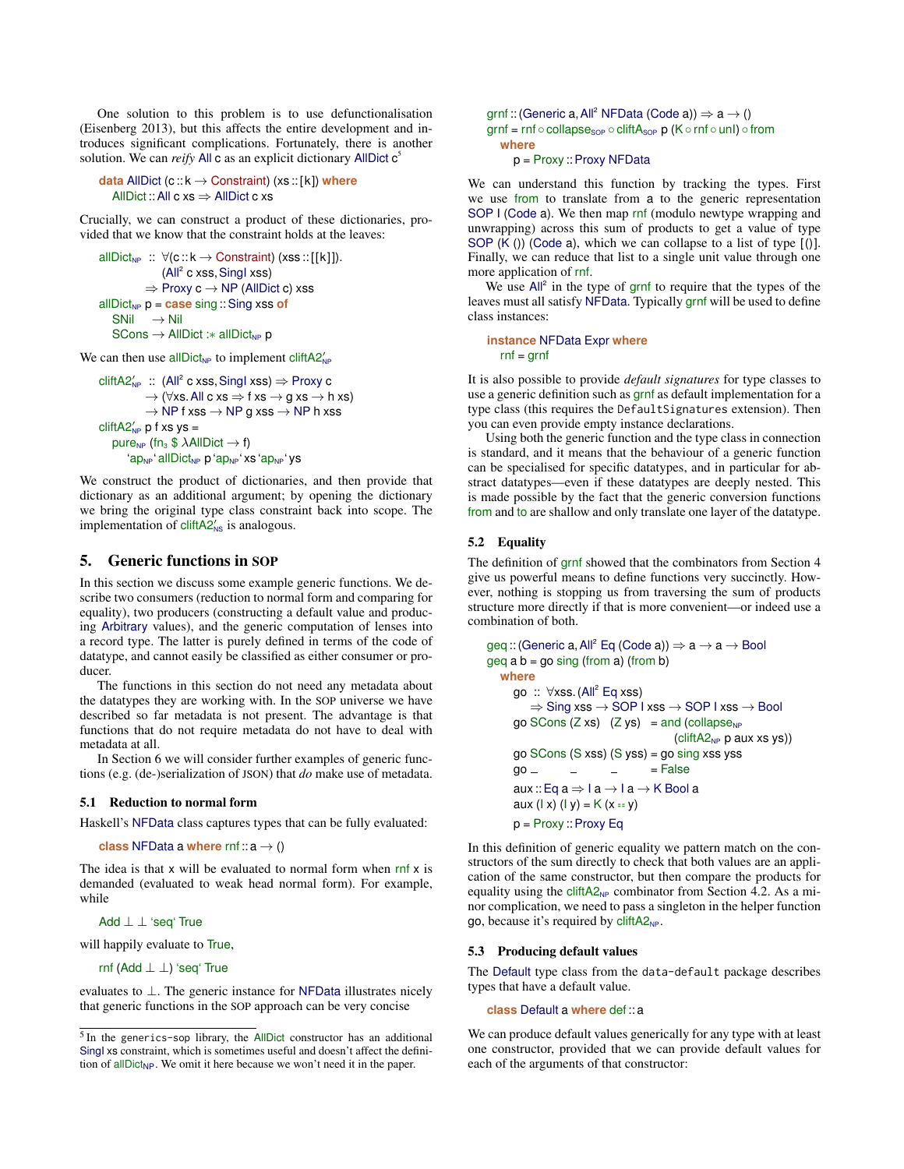One solution to this problem is to use defunctionalisation (Eisenberg 2013), but this affects the entire development and introduces significant complications. Fortunately, there is another solution. We can *reify* All c as an explicit dictionary AllDict c<sup>5</sup>

**data** AllDict (c :: k → Constraint) (xs :: [k]) **where** AllDict :: All c  $xs \Rightarrow$  AllDict c xs

Crucially, we can construct a product of these dictionaries, provided that we know that the constraint holds at the leaves:

```
allDict<sub>NP</sub> :: \forall(c :: k \rightarrow Constraint) (xss :: [[k]]).
                   (All<sup>2</sup> c xss, Singl xss)\Rightarrow Proxy c \rightarrow NP (AllDict c) xss
allDict<sub>NP</sub> p = \text{case} \sin q: Sing xss of
   SNil \rightarrow NilSCons \rightarrow AllDict : * allDict_{NP} p
```
We can then use all Dict<sub>NP</sub> to implement clift  $A2'_{NP}$ 

```
cliftA2'_{\text{NP}} :: (All<sup>2</sup> c xss, SingI xss) \Rightarrow Proxy c
                \rightarrow (\forallxs. All c xs \Rightarrow f xs \rightarrow g xs \rightarrow h xs)
                \rightarrow NP f xss \rightarrow NP g xss \rightarrow NP h xss
cliftA2'_{NP} p f xs ys =
    pure<sub>NP</sub> (fn<sub>3</sub> $ \lambdaAllDict \rightarrow f)
         'ap<sub>NP</sub>' allDict<sub>NP</sub> p 'ap<sub>NP</sub>' xs 'ap<sub>NP</sub>' ys
```
We construct the product of dictionaries, and then provide that dictionary as an additional argument; by opening the dictionary we bring the original type class constraint back into scope. The implementation of cliftA2'<sub>NS</sub> is analogous.

# 5. Generic functions in SOP

In this section we discuss some example generic functions. We describe two consumers (reduction to normal form and comparing for equality), two producers (constructing a default value and producing Arbitrary values), and the generic computation of lenses into a record type. The latter is purely defined in terms of the code of datatype, and cannot easily be classified as either consumer or producer.

The functions in this section do not need any metadata about the datatypes they are working with. In the SOP universe we have described so far metadata is not present. The advantage is that functions that do not require metadata do not have to deal with metadata at all.

In Section 6 we will consider further examples of generic functions (e.g. (de-)serialization of JSON) that *do* make use of metadata.

#### 5.1 Reduction to normal form

Haskell's NFData class captures types that can be fully evaluated:

```
class NFData a where rnf :: a → ()
```
The idea is that x will be evaluated to normal form when rnf x is demanded (evaluated to weak head normal form). For example, while

Add ⊥ ⊥ 'seq' True

will happily evaluate to True,

rnf (Add ⊥ ⊥) 'seq' True

evaluates to ⊥. The generic instance for NFData illustrates nicely that generic functions in the SOP approach can be very concise

grnf :: (Generic a, All<sup>2</sup> NFData (Code a))  $\Rightarrow$  a  $\rightarrow$  () grnf = rnf  $\circ$  collapse<sub>sop</sub>  $\circ$  cliftA<sub>sop</sub> p (K  $\circ$  rnf  $\circ$  unI)  $\circ$  from **where**

p = Proxy :: Proxy NFData

We can understand this function by tracking the types. First we use from to translate from a to the generic representation SOP I (Code a). We then map rnf (modulo newtype wrapping and unwrapping) across this sum of products to get a value of type SOP  $(K()$  (Code a), which we can collapse to a list of type  $[()]$ . Finally, we can reduce that list to a single unit value through one more application of rnf.

We use All<sup>2</sup> in the type of grnf to require that the types of the leaves must all satisfy NFData. Typically grnf will be used to define class instances:

## **instance** NFData Expr **where**  $rnf = grnf$

It is also possible to provide *default signatures* for type classes to use a generic definition such as grnf as default implementation for a type class (this requires the DefaultSignatures extension). Then you can even provide empty instance declarations.

Using both the generic function and the type class in connection is standard, and it means that the behaviour of a generic function can be specialised for specific datatypes, and in particular for abstract datatypes—even if these datatypes are deeply nested. This is made possible by the fact that the generic conversion functions from and to are shallow and only translate one layer of the datatype.

## 5.2 Equality

The definition of grnf showed that the combinators from Section 4 give us powerful means to define functions very succinctly. However, nothing is stopping us from traversing the sum of products structure more directly if that is more convenient—or indeed use a combination of both.

```
geq :: (Generic a, All<sup>2</sup> Eq (Code a)) \Rightarrow a \rightarrow a \rightarrow Bool
geq a b = go sing (from a) (from b)where
       go :: \forallxss. (All<sup>2</sup> Eq xss)
            \Rightarrow Sing xss \rightarrow SOP I xss \rightarrow SOP I xss \rightarrow Bool
       go SCons (Z xs) (Z ys) = and (collapse<sub>NP</sub>
                                                     (cliftA2<sub>NP</sub> p aux xs ys))go SCons (S xss) (S \text{ yss}) = go sing xss yss
       \begin{array}{ccc} \texttt{go} & = & = \\ - & = & \end{array} = False
       aux :: Eq a \Rightarrow I a \rightarrow I a \rightarrow K Bool a
       aux (|x\rangle (|y\rangle = K(x = y)p = Proxy :: Proxy Eq
```
In this definition of generic equality we pattern match on the constructors of the sum directly to check that both values are an application of the same constructor, but then compare the products for equality using the  $\text{cliftA2}_{\text{NP}}$  combinator from Section 4.2. As a minor complication, we need to pass a singleton in the helper function go, because it's required by  $\text{clift}A2_{\text{NP}}$ .

## 5.3 Producing default values

The Default type class from the data-default package describes types that have a default value.

#### **class** Default a **where** def :: a

We can produce default values generically for any type with at least one constructor, provided that we can provide default values for each of the arguments of that constructor:

<sup>&</sup>lt;sup>5</sup> In the generics-sop library, the AllDict constructor has an additional SingI xs constraint, which is sometimes useful and doesn't affect the definition of allDict<sub>NP</sub>. We omit it here because we won't need it in the paper.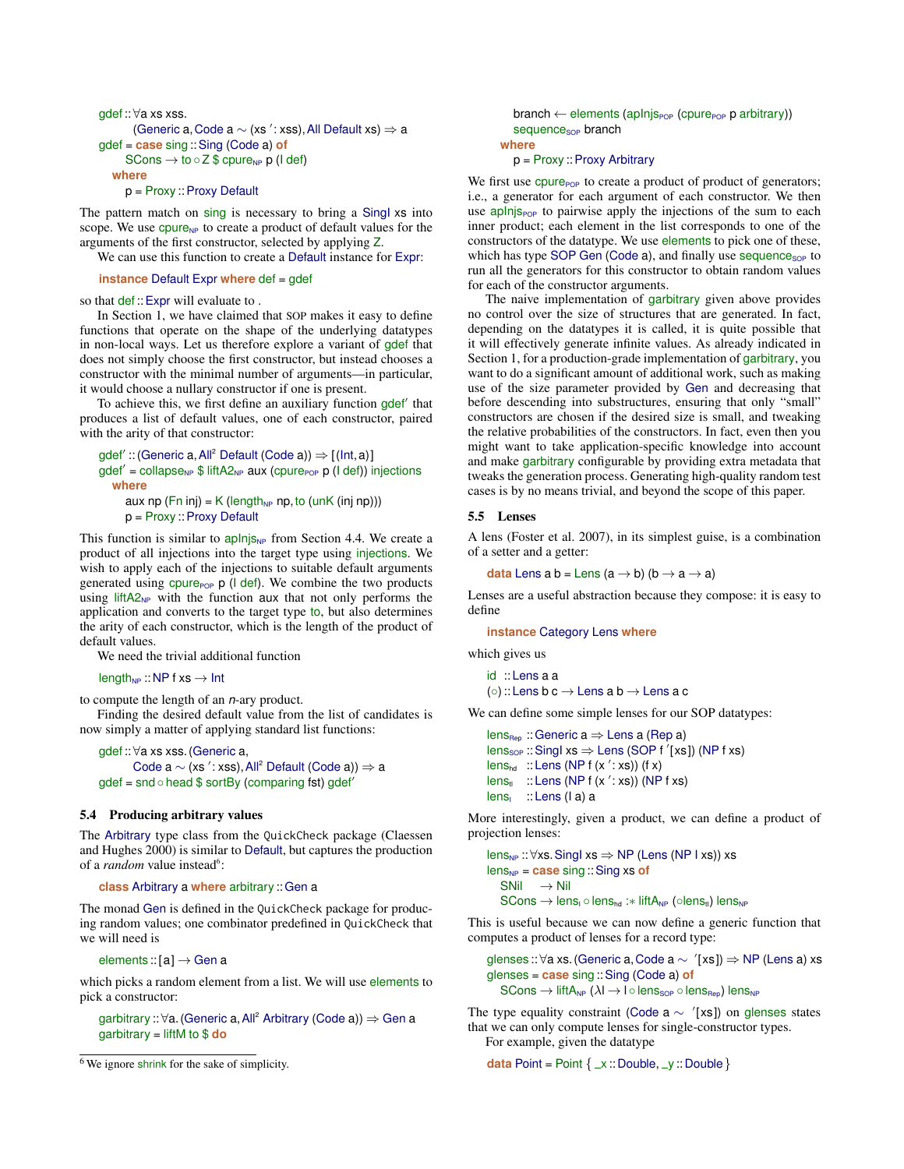```
gdef :: ∀a xs xss.
        (Generic a, Code a \sim (xs ': xss), All Default xs) \Rightarrow a
gdef = case sing ::Sing (Code a) of
      SCons \rightarrow to \circ Z $ cpure<sub>NP</sub> p (I def)
   where
     p = Proxy ::Proxy Default
```
The pattern match on sing is necessary to bring a Singl xs into scope. We use cpure<sub>NP</sub> to create a product of default values for the arguments of the first constructor, selected by applying Z.

We can use this function to create a Default instance for Expr:

## **instance** Default Expr **where** def = gdef

so that def: Expr will evaluate to.

In Section 1, we have claimed that SOP makes it easy to define functions that operate on the shape of the underlying datatypes in non-local ways. Let us therefore explore a variant of gdef that does not simply choose the first constructor, but instead chooses a constructor with the minimal number of arguments—in particular, it would choose a nullary constructor if one is present.

To achieve this, we first define an auxiliary function gdef' that produces a list of default values, one of each constructor, paired with the arity of that constructor:

gdef' :: (Generic a, All<sup>2</sup> Default (Code a))  $\Rightarrow$  [(Int, a)] gdef' = collapse<sub>NP</sub> \$ liftA2<sub>NP</sub> aux (cpure<sub>POP</sub> p (I def)) injections **where**

aux np (Fn inj) = K (length<sub>NP</sub> np, to (unK (inj np))) p = Proxy ::Proxy Default

This function is similar to  $\frac{apInj_{sNP}}{b}$  from Section 4.4. We create a product of all injections into the target type using injections. We wish to apply each of the injections to suitable default arguments generated using cpure<sub>POP</sub> p (I def). We combine the two products using lift $A2_{NP}$  with the function aux that not only performs the application and converts to the target type to, but also determines the arity of each constructor, which is the length of the product of default values.

We need the trivial additional function

 $l$ ength<sub>NP</sub> :: NP f xs  $\rightarrow$  Int

to compute the length of an *n*-ary product.

Finding the desired default value from the list of candidates is now simply a matter of applying standard list functions:

```
gdef :: ∀a xs xss. (Generic a,
        Code a \sim (xs ': xss), All<sup>2</sup> Default (Code a)) \Rightarrow a
gdef = snd ∘ head $ sortBy (comparing fat) gdef'
```
#### 5.4 Producing arbitrary values

The Arbitrary type class from the QuickCheck package (Claessen and Hughes 2000) is similar to Default, but captures the production of a *random* value instead<sup>6</sup>:

#### **class** Arbitrary a **where** arbitrary ::Gen a

The monad Gen is defined in the QuickCheck package for producing random values; one combinator predefined in QuickCheck that we will need is

elements :: [a] → Gen a

which picks a random element from a list. We will use elements to pick a constructor:

garbitrary :: ∀a. (Generic a, All<sup>2</sup> Arbitrary (Code a))  $\Rightarrow$  Gen a garbitrary = liftM to \$ **do**

 $branch \leftarrow elements (apInjs_{POP} (cpure_{POP} p arbitrary))$ sequence<sub>SOP</sub> branch **where**

## p = Proxy ::Proxy Arbitrary

We first use cpure<sub>POP</sub> to create a product of product of generators; i.e., a generator for each argument of each constructor. We then use aplnjs<sub>POP</sub> to pairwise apply the injections of the sum to each inner product; each element in the list corresponds to one of the constructors of the datatype. We use elements to pick one of these, which has type SOP Gen (Code a), and finally use sequence<sub>sop</sub> to run all the generators for this constructor to obtain random values for each of the constructor arguments.

The naive implementation of garbitrary given above provides no control over the size of structures that are generated. In fact, depending on the datatypes it is called, it is quite possible that it will effectively generate infinite values. As already indicated in Section 1, for a production-grade implementation of garbitrary, you want to do a significant amount of additional work, such as making use of the size parameter provided by Gen and decreasing that before descending into substructures, ensuring that only "small" constructors are chosen if the desired size is small, and tweaking the relative probabilities of the constructors. In fact, even then you might want to take application-specific knowledge into account and make garbitrary configurable by providing extra metadata that tweaks the generation process. Generating high-quality random test cases is by no means trivial, and beyond the scope of this paper.

#### 5.5 Lenses

A lens (Foster et al. 2007), in its simplest guise, is a combination of a setter and a getter:

**data** Lens  $ab =$  Lens  $(a \rightarrow b)$   $(b \rightarrow a \rightarrow a)$ 

Lenses are a useful abstraction because they compose: it is easy to define

**instance** Category Lens **where**

which gives us

 $id$  :: Lens a a

(○) :: Lens b c  $\rightarrow$  Lens a b  $\rightarrow$  Lens a c

We can define some simple lenses for our SOP datatypes:

```
lens<sub>Rep</sub> ::Generic a \Rightarrow Lens a (Rep a)
lens<sub>soP</sub>:: SingI xs \Rightarrow Lens (SOP f '[xs]) (NP f xs)
lens<sub>hd</sub> :: Lens (NP f (x': xs)) (f x)
lens<sub>tl</sub> :: Lens (NP f (x': xs)) (NP f xs)
lens<sub>l</sub> :: Lens (I a) a
```
More interestingly, given a product, we can define a product of projection lenses:

```
lens<sub>NP</sub> :: ∀xs. SingI xs \Rightarrow NP (Lens (NP I xs)) xs
lens<sub>NP</sub> = case sing :: Sing xs of
    SNil \rightarrow NilSCons \rightarrow lens_{I} \circ lens_{hd} : * liftA_{NP} (\circ lens_{H}) lens<sub>NP</sub>
```
This is useful because we can now define a generic function that computes a product of lenses for a record type:

```
glenses :: ∀a xs. (Generic a, Code a \sim \ {}'[\texttt{xs}]\texttt{)} \Rightarrow \texttt{NP} (Lens a) xs
glenses = case sing ::Sing (Code a) of
     \mathsf{SCons}\to\mathsf{liftA}_{\mathsf{NP}} (\lambda\mathsf{I}\to\mathsf{I}\circ\mathsf{lens}_{\mathsf{SOP}}\circ\mathsf{lens}_{\mathsf{Rep}}) lens<sub>NP</sub>
```
The type equality constraint (Code  $a \sim '$ [xs]) on glenses states that we can only compute lenses for single-constructor types. For example, given the datatype

**data** Point = Point  $\{ x : \text{Double}, y : \text{Double} \}$ 

<sup>&</sup>lt;sup>6</sup> We ignore shrink for the sake of simplicity.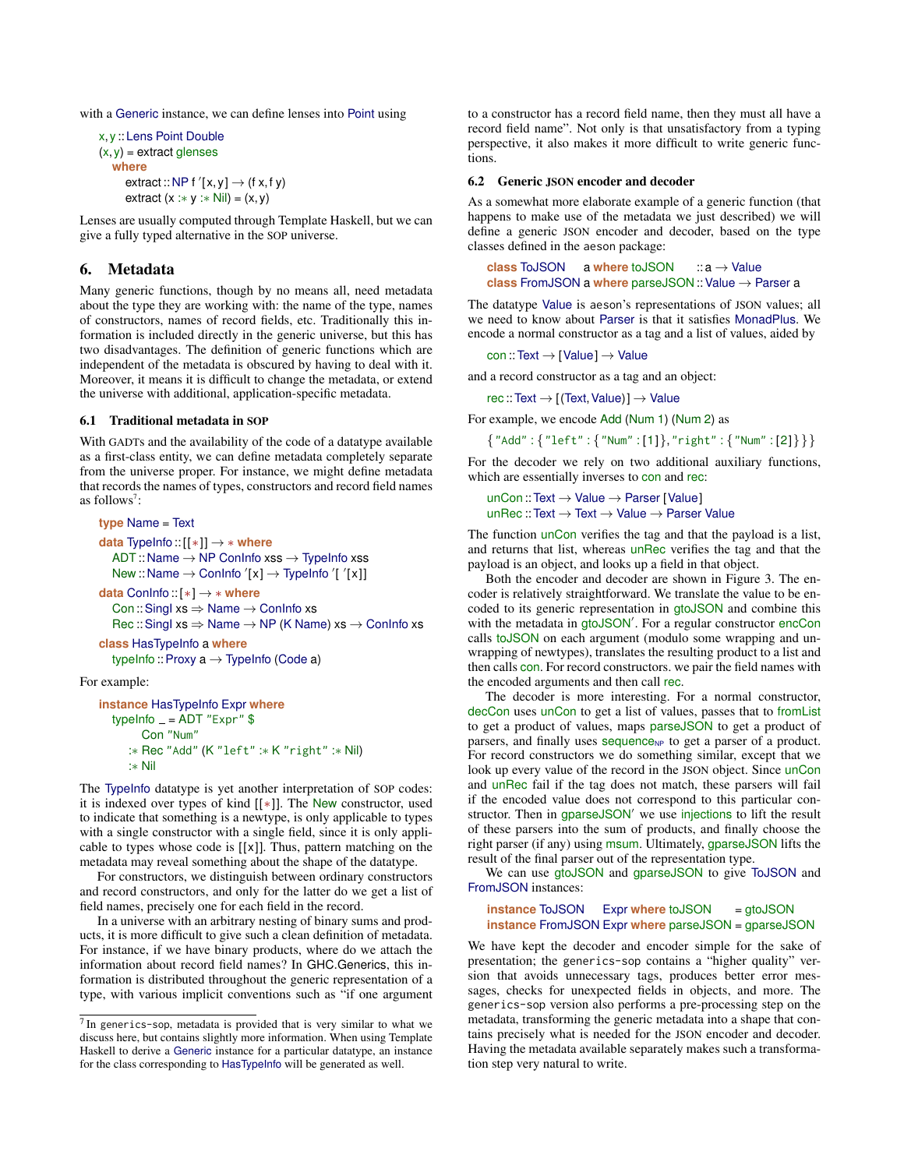with a Generic instance, we can define lenses into Point using

x,y :: Lens Point Double  $(x, y)$  = extract glenses **where**  $extraction: NP f'(x, y) \rightarrow (f x, f y)$ extract  $(x : * y : * Nil) = (x, y)$ 

Lenses are usually computed through Template Haskell, but we can give a fully typed alternative in the SOP universe.

# 6. Metadata

Many generic functions, though by no means all, need metadata about the type they are working with: the name of the type, names of constructors, names of record fields, etc. Traditionally this information is included directly in the generic universe, but this has two disadvantages. The definition of generic functions which are independent of the metadata is obscured by having to deal with it. Moreover, it means it is difficult to change the metadata, or extend the universe with additional, application-specific metadata.

## 6.1 Traditional metadata in SOP

With GADTs and the availability of the code of a datatype available as a first-class entity, we can define metadata completely separate from the universe proper. For instance, we might define metadata that records the names of types, constructors and record field names as follows<sup>7</sup>:

```
type Name = Text
data TypeInfo :: [[∗]] → ∗ where
  ADT :: Name → NP ConInfo xss → TypeInfo xss
   New:: Name \rightarrow ConInfo '[x] \rightarrow TypeInfo '['[x]]
data ConInfo :: [∗] → ∗ where
  Con ::SingI xs ⇒ Name → ConInfo xs
  Rec :: SingI xs \Rightarrow Name \rightarrow NP (K Name) xs \rightarrow ConInfo xs
class HasTypeInfo a where
  typeInfo :: Proxy a \rightarrow TypeInfo (Code a)
```
For example:

```
instance HasTypeInfo Expr where
  typeInfo = ADT "Expr" $Con "Num"
     :∗ Rec "Add" (K "left" :∗ K "right" :∗ Nil)
     :∗ Nil
```
The TypeInfo datatype is yet another interpretation of SOP codes: it is indexed over types of kind [[∗]]. The New constructor, used to indicate that something is a newtype, is only applicable to types with a single constructor with a single field, since it is only applicable to types whose code is  $[[x]]$ . Thus, pattern matching on the metadata may reveal something about the shape of the datatype.

For constructors, we distinguish between ordinary constructors and record constructors, and only for the latter do we get a list of field names, precisely one for each field in the record.

In a universe with an arbitrary nesting of binary sums and products, it is more difficult to give such a clean definition of metadata. For instance, if we have binary products, where do we attach the information about record field names? In GHC.Generics, this information is distributed throughout the generic representation of a type, with various implicit conventions such as "if one argument to a constructor has a record field name, then they must all have a record field name". Not only is that unsatisfactory from a typing perspective, it also makes it more difficult to write generic functions.

#### 6.2 Generic JSON encoder and decoder

As a somewhat more elaborate example of a generic function (that happens to make use of the metadata we just described) we will define a generic JSON encoder and decoder, based on the type classes defined in the aeson package:

```
class ToJSON a where toJSON :: a → Value
class FromJSON a where parseJSON ::Value → Parser a
```
The datatype Value is aeson's representations of JSON values; all we need to know about Parser is that it satisfies MonadPlus. We encode a normal constructor as a tag and a list of values, aided by

con :: Text → [Value] → Value

and a record constructor as a tag and an object:

 $rec::Text \rightarrow [(Text, Value)] \rightarrow Value$ 

For example, we encode Add (Num 1) (Num 2) as

 ${'}$  Add" :  ${''}$  left" :  ${''}$  Num" : [1]  $},$  "right" :  ${''}$  Num" : [2]  $}$  } }

For the decoder we rely on two additional auxiliary functions, which are essentially inverses to con and rec:

```
unCon::Text \rightarrow Value \rightarrow Parser [Value]
unRec :: Text \rightarrow Text \rightarrow Value \rightarrow Parser Value
```
The function unCon verifies the tag and that the payload is a list, and returns that list, whereas unRec verifies the tag and that the payload is an object, and looks up a field in that object.

Both the encoder and decoder are shown in Figure 3. The encoder is relatively straightforward. We translate the value to be encoded to its generic representation in gtoJSON and combine this with the metadata in gtoJSON'. For a regular constructor encCon calls toJSON on each argument (modulo some wrapping and unwrapping of newtypes), translates the resulting product to a list and then calls con. For record constructors. we pair the field names with the encoded arguments and then call rec.

The decoder is more interesting. For a normal constructor, decCon uses unCon to get a list of values, passes that to fromList to get a product of values, maps parseJSON to get a product of parsers, and finally uses sequence $_{NP}$  to get a parser of a product. For record constructors we do something similar, except that we look up every value of the record in the JSON object. Since unCon and unRec fail if the tag does not match, these parsers will fail if the encoded value does not correspond to this particular constructor. Then in gparseJSON' we use injections to lift the result of these parsers into the sum of products, and finally choose the right parser (if any) using msum. Ultimately, gparseJSON lifts the result of the final parser out of the representation type.

We can use gtoJSON and gparseJSON to give ToJSON and FromJSON instances:

```
instance ToJSON Expr where toJSON = gtoJSON
instance FromJSON Expr where parseJSON = gparseJSON
```
We have kept the decoder and encoder simple for the sake of presentation; the generics-sop contains a "higher quality" version that avoids unnecessary tags, produces better error messages, checks for unexpected fields in objects, and more. The generics-sop version also performs a pre-processing step on the metadata, transforming the generic metadata into a shape that contains precisely what is needed for the JSON encoder and decoder. Having the metadata available separately makes such a transformation step very natural to write.

 $7$  In generics-sop, metadata is provided that is very similar to what we discuss here, but contains slightly more information. When using Template Haskell to derive a Generic instance for a particular datatype, an instance for the class corresponding to HasTypeInfo will be generated as well.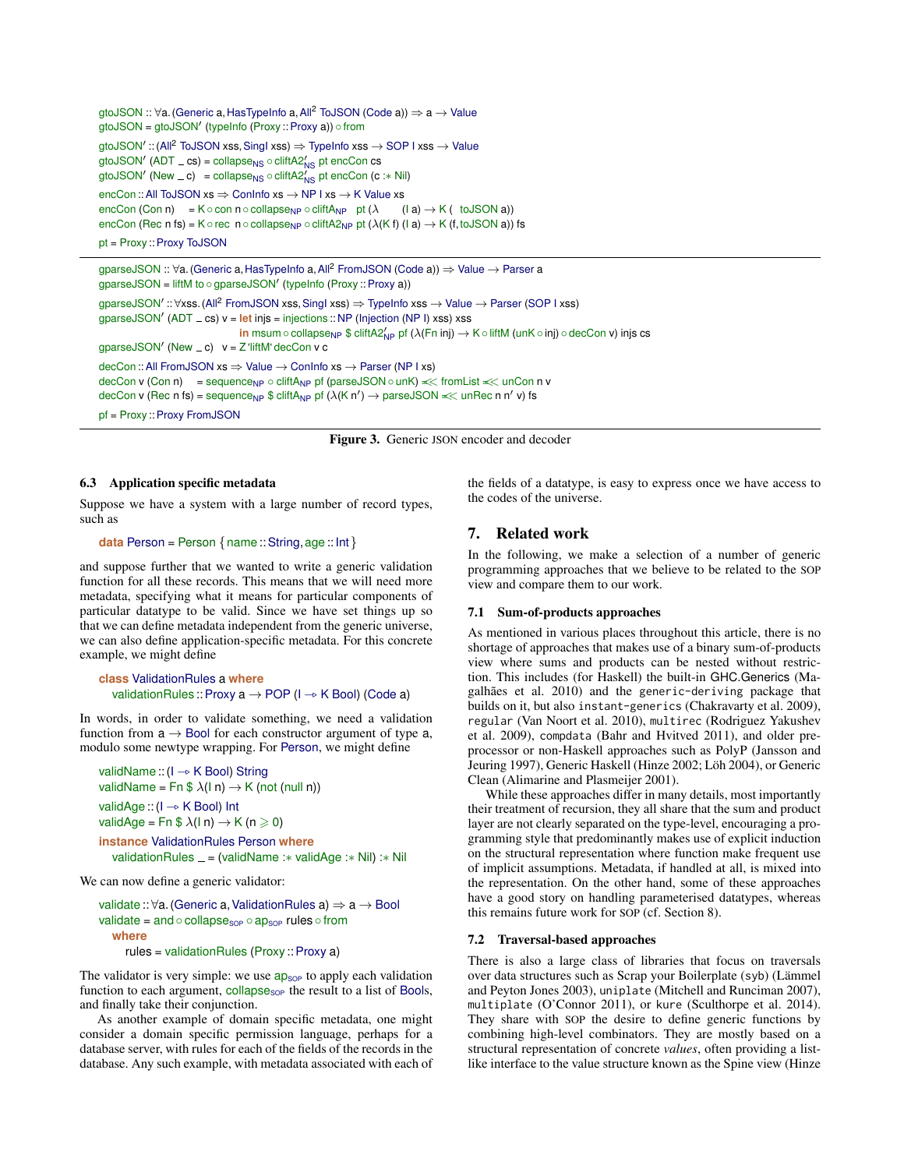```
gtoJSON :: ∀a. (Generic a, HasTypeInfo a, All<sup>2</sup> ToJSON (Code a)) \Rightarrow a \rightarrow Value
gtoJSON = gtoJSON' (typeInfo (Proxy :: Proxy a)) ○ from
gtoJSON' :: (All<sup>2</sup> ToJSON xss, SingI xss) \Rightarrow TypeInfo xss \rightarrow SOP I xss \rightarrow Value
gtoJSON' (ADT <sub>−</sub> cs) = collapse<sub>NS</sub> ∘ cliftA2<mark>′<sub>NS</sub> pt encCon cs</mark>
gtoJSON' (New \angle c) = collapse<sub>NS</sub> \circ cliftA2_{NS}^{V} pt encCon (c :\ast Nil)
encCon ::All ToJSON xs ⇒ ConInfo xs → NP I xs → K Value xs
encCon (Con n) = K ∘ con n ∘ collapse<sub>NP</sub> ∘ cliftA<sub>NP</sub> pt (\lambda (I a) \rightarrow K ( toJSON a))
encCon (Rec n fs) = K ∘ rec n ∘ collapse<sub>NP</sub> ∘ cliftA2<sub>NP</sub> pt (\lambda(K f) (I a) \rightarrow K (f, toJSON a)) fs
pt = Proxy :: Proxy ToJSON
gparseJSON :: ∀a. (Generic a,HasTypeInfo a,All2 FromJSON (Code a)) ⇒ Value → Parser a
gparseJSON = liftM to ○ gparseJSON' (typeInfo (Proxy :: Proxy a))
gparseJSON' :: ∀xss. (All<sup>2</sup> FromJSON xss, SingI xss) ⇒ TypeInfo xss → Value → Parser (SOP I xss)
gparseJSON' (ADT _ cs) v = let injs = injections :: NP (Injection (NP I) xss) xss
                                     <mark>in</mark> msum⊙collapse<sub>NP</sub> $ cliftA2<mark>′<sub>NP</sub> pf (λ(Fn inj) → K○liftM (unK○inj)○decCon v) injs cs</mark>
gparseJSON' (New \angle c) v = Z' liftM' decCon v c
decCon :: All FromJSON xs \Rightarrow Value \rightarrow ConInfo xs \rightarrow Parser (NP I xs)
decCon v (Con n) = sequence<sub>NP</sub> ∘ cliftA<sub>NP</sub> pf (parseJSON ∘ unK) \leq fromList \leq unCon n v
decCon v (Rec n fs) = sequence<sub>NP</sub> $ cliftA<sub>NP</sub> pf (\lambda(K n') \rightarrow parseJSON \ll unRec n n' v) fs
pf = Proxy :: Proxy FromJSON
```
Figure 3. Generic JSON encoder and decoder

## 6.3 Application specific metadata

Suppose we have a system with a large number of record types, such as

## **data** Person = Person  $\{name::String, age::Int\}$

and suppose further that we wanted to write a generic validation function for all these records. This means that we will need more metadata, specifying what it means for particular components of particular datatype to be valid. Since we have set things up so that we can define metadata independent from the generic universe, we can also define application-specific metadata. For this concrete example, we might define

```
class ValidationRules a where
  validationRules :: Proxy a \rightarrow POP (I \rightarrow K Bool) (Code a)
```
In words, in order to validate something, we need a validation function from  $a \rightarrow$  Bool for each constructor argument of type a, modulo some newtype wrapping. For Person, we might define

```
validName :: (I \rightarrow K Bool) String
validName = Fn \$\lambda(l n) \rightarrow K (not (null n))
validAge :: (I \rightarrow K Bool) Int
validAge = Fn $ \lambda(l n) \rightarrow K (n \geq 0)
instance ValidationRules Person where
   validationRules = (validName :∗ validAge :∗ Nil) :∗ Nil
```
We can now define a generic validator:

validate :: ∀a. (Generic a,ValidationRules a) ⇒ a → Bool validate = and  $\circ$  collapse<sub>sop</sub>  $\circ$  ap<sub>sop</sub> rules  $\circ$  from **where** rules = validationRules (Proxy: Proxy a)

The validator is very simple: we use  $ap_{\text{SOP}}$  to apply each validation function to each argument, collapse<sub>sop</sub> the result to a list of Bools, and finally take their conjunction.

As another example of domain specific metadata, one might consider a domain specific permission language, perhaps for a database server, with rules for each of the fields of the records in the database. Any such example, with metadata associated with each of the fields of a datatype, is easy to express once we have access to the codes of the universe.

# 7. Related work

In the following, we make a selection of a number of generic programming approaches that we believe to be related to the SOP view and compare them to our work.

#### 7.1 Sum-of-products approaches

As mentioned in various places throughout this article, there is no shortage of approaches that makes use of a binary sum-of-products view where sums and products can be nested without restriction. This includes (for Haskell) the built-in GHC.Generics (Magalhães et al. 2010) and the generic-deriving package that builds on it, but also instant-generics (Chakravarty et al. 2009), regular (Van Noort et al. 2010), multirec (Rodriguez Yakushev et al. 2009), compdata (Bahr and Hvitved 2011), and older preprocessor or non-Haskell approaches such as PolyP (Jansson and Jeuring 1997), Generic Haskell (Hinze 2002; Löh 2004), or Generic Clean (Alimarine and Plasmeijer 2001).

While these approaches differ in many details, most importantly their treatment of recursion, they all share that the sum and product layer are not clearly separated on the type-level, encouraging a programming style that predominantly makes use of explicit induction on the structural representation where function make frequent use of implicit assumptions. Metadata, if handled at all, is mixed into the representation. On the other hand, some of these approaches have a good story on handling parameterised datatypes, whereas this remains future work for SOP (cf. Section 8).

## 7.2 Traversal-based approaches

There is also a large class of libraries that focus on traversals over data structures such as Scrap your Boilerplate (syb) (Lämmel and Peyton Jones 2003), uniplate (Mitchell and Runciman 2007), multiplate (O'Connor 2011), or kure (Sculthorpe et al. 2014). They share with SOP the desire to define generic functions by combining high-level combinators. They are mostly based on a structural representation of concrete *values*, often providing a listlike interface to the value structure known as the Spine view (Hinze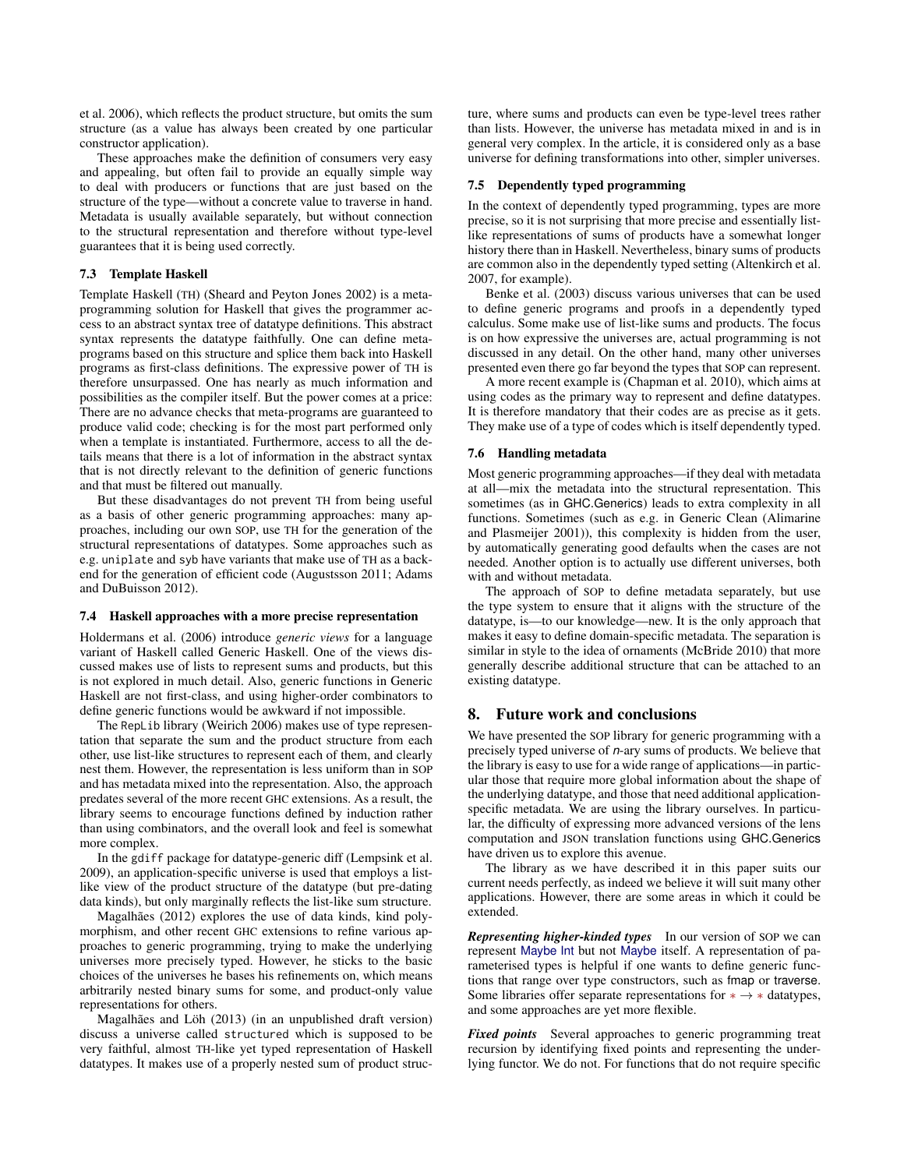et al. 2006), which reflects the product structure, but omits the sum structure (as a value has always been created by one particular constructor application).

These approaches make the definition of consumers very easy and appealing, but often fail to provide an equally simple way to deal with producers or functions that are just based on the structure of the type—without a concrete value to traverse in hand. Metadata is usually available separately, but without connection to the structural representation and therefore without type-level guarantees that it is being used correctly.

# 7.3 Template Haskell

Template Haskell (TH) (Sheard and Peyton Jones 2002) is a metaprogramming solution for Haskell that gives the programmer access to an abstract syntax tree of datatype definitions. This abstract syntax represents the datatype faithfully. One can define metaprograms based on this structure and splice them back into Haskell programs as first-class definitions. The expressive power of TH is therefore unsurpassed. One has nearly as much information and possibilities as the compiler itself. But the power comes at a price: There are no advance checks that meta-programs are guaranteed to produce valid code; checking is for the most part performed only when a template is instantiated. Furthermore, access to all the details means that there is a lot of information in the abstract syntax that is not directly relevant to the definition of generic functions and that must be filtered out manually.

But these disadvantages do not prevent TH from being useful as a basis of other generic programming approaches: many approaches, including our own SOP, use TH for the generation of the structural representations of datatypes. Some approaches such as e.g. uniplate and syb have variants that make use of TH as a backend for the generation of efficient code (Augustsson 2011; Adams and DuBuisson 2012).

## 7.4 Haskell approaches with a more precise representation

Holdermans et al. (2006) introduce *generic views* for a language variant of Haskell called Generic Haskell. One of the views discussed makes use of lists to represent sums and products, but this is not explored in much detail. Also, generic functions in Generic Haskell are not first-class, and using higher-order combinators to define generic functions would be awkward if not impossible.

The RepLib library (Weirich 2006) makes use of type representation that separate the sum and the product structure from each other, use list-like structures to represent each of them, and clearly nest them. However, the representation is less uniform than in SOP and has metadata mixed into the representation. Also, the approach predates several of the more recent GHC extensions. As a result, the library seems to encourage functions defined by induction rather than using combinators, and the overall look and feel is somewhat more complex.

In the gdiff package for datatype-generic diff (Lempsink et al. 2009), an application-specific universe is used that employs a listlike view of the product structure of the datatype (but pre-dating data kinds), but only marginally reflects the list-like sum structure.

Magalhães (2012) explores the use of data kinds, kind polymorphism, and other recent GHC extensions to refine various approaches to generic programming, trying to make the underlying universes more precisely typed. However, he sticks to the basic choices of the universes he bases his refinements on, which means arbitrarily nested binary sums for some, and product-only value representations for others.

Magalhães and Löh (2013) (in an unpublished draft version) discuss a universe called structured which is supposed to be very faithful, almost TH-like yet typed representation of Haskell datatypes. It makes use of a properly nested sum of product structure, where sums and products can even be type-level trees rather than lists. However, the universe has metadata mixed in and is in general very complex. In the article, it is considered only as a base universe for defining transformations into other, simpler universes.

## 7.5 Dependently typed programming

In the context of dependently typed programming, types are more precise, so it is not surprising that more precise and essentially listlike representations of sums of products have a somewhat longer history there than in Haskell. Nevertheless, binary sums of products are common also in the dependently typed setting (Altenkirch et al. 2007, for example).

Benke et al. (2003) discuss various universes that can be used to define generic programs and proofs in a dependently typed calculus. Some make use of list-like sums and products. The focus is on how expressive the universes are, actual programming is not discussed in any detail. On the other hand, many other universes presented even there go far beyond the types that SOP can represent.

A more recent example is (Chapman et al. 2010), which aims at using codes as the primary way to represent and define datatypes. It is therefore mandatory that their codes are as precise as it gets. They make use of a type of codes which is itself dependently typed.

#### 7.6 Handling metadata

Most generic programming approaches—if they deal with metadata at all—mix the metadata into the structural representation. This sometimes (as in GHC.Generics) leads to extra complexity in all functions. Sometimes (such as e.g. in Generic Clean (Alimarine and Plasmeijer 2001)), this complexity is hidden from the user, by automatically generating good defaults when the cases are not needed. Another option is to actually use different universes, both with and without metadata.

The approach of SOP to define metadata separately, but use the type system to ensure that it aligns with the structure of the datatype, is—to our knowledge—new. It is the only approach that makes it easy to define domain-specific metadata. The separation is similar in style to the idea of ornaments (McBride 2010) that more generally describe additional structure that can be attached to an existing datatype.

# 8. Future work and conclusions

We have presented the SOP library for generic programming with a precisely typed universe of *n*-ary sums of products. We believe that the library is easy to use for a wide range of applications—in particular those that require more global information about the shape of the underlying datatype, and those that need additional applicationspecific metadata. We are using the library ourselves. In particular, the difficulty of expressing more advanced versions of the lens computation and JSON translation functions using GHC.Generics have driven us to explore this avenue.

The library as we have described it in this paper suits our current needs perfectly, as indeed we believe it will suit many other applications. However, there are some areas in which it could be extended.

*Representing higher-kinded types* In our version of SOP we can represent Maybe Int but not Maybe itself. A representation of parameterised types is helpful if one wants to define generic functions that range over type constructors, such as fmap or traverse. Some libraries offer separate representations for  $* \rightarrow *$  datatypes, and some approaches are yet more flexible.

*Fixed points* Several approaches to generic programming treat recursion by identifying fixed points and representing the underlying functor. We do not. For functions that do not require specific